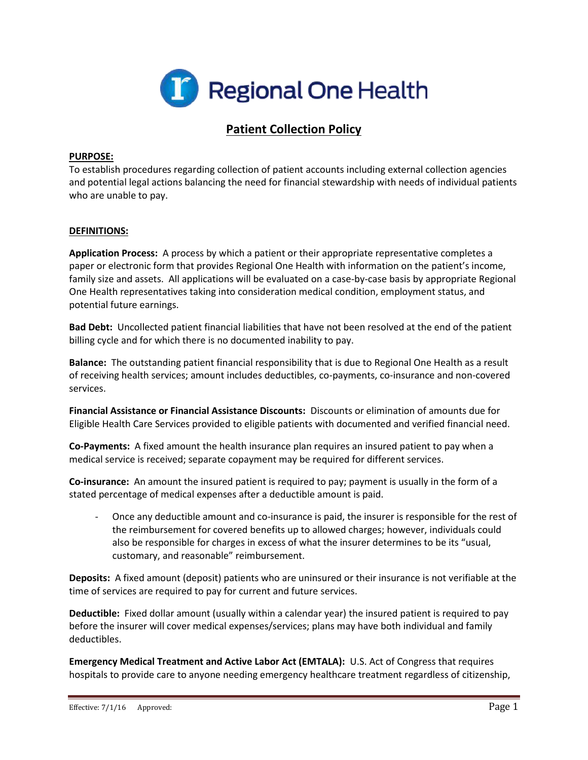

# **Patient Collection Policy**

### **PURPOSE:**

To establish procedures regarding collection of patient accounts including external collection agencies and potential legal actions balancing the need for financial stewardship with needs of individual patients who are unable to pay.

### **DEFINITIONS:**

**Application Process:** A process by which a patient or their appropriate representative completes a paper or electronic form that provides Regional One Health with information on the patient's income, family size and assets. All applications will be evaluated on a case-by-case basis by appropriate Regional One Health representatives taking into consideration medical condition, employment status, and potential future earnings.

**Bad Debt:** Uncollected patient financial liabilities that have not been resolved at the end of the patient billing cycle and for which there is no documented inability to pay.

**Balance:** The outstanding patient financial responsibility that is due to Regional One Health as a result of receiving health services; amount includes deductibles, co-payments, co-insurance and non-covered services.

**Financial Assistance or Financial Assistance Discounts:** Discounts or elimination of amounts due for Eligible Health Care Services provided to eligible patients with documented and verified financial need.

**Co-Payments:** A fixed amount the health insurance plan requires an insured patient to pay when a medical service is received; separate copayment may be required for different services.

**Co-insurance:** An amount the insured patient is required to pay; payment is usually in the form of a stated percentage of medical expenses after a deductible amount is paid.

Once any deductible amount and co-insurance is paid, the insurer is responsible for the rest of the reimbursement for covered benefits up to allowed charges; however, individuals could also be responsible for charges in excess of what the insurer determines to be its "usual, customary, and reasonable" reimbursement.

**Deposits:** A fixed amount (deposit) patients who are uninsured or their insurance is not verifiable at the time of services are required to pay for current and future services.

**Deductible:** Fixed dollar amount (usually within a calendar year) the insured patient is required to pay before the insurer will cover medical expenses/services; plans may have both individual and family deductibles.

**Emergency Medical Treatment and Active Labor Act (EMTALA):** U.S. Act of Congress that requires hospitals to provide care to anyone needing emergency healthcare treatment regardless of citizenship,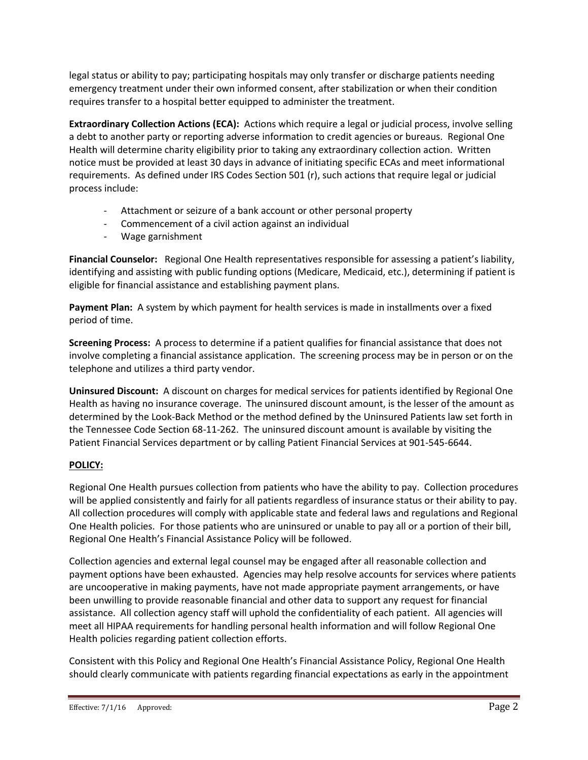legal status or ability to pay; participating hospitals may only transfer or discharge patients needing emergency treatment under their own informed consent, after stabilization or when their condition requires transfer to a hospital better equipped to administer the treatment.

**Extraordinary Collection Actions (ECA):** Actions which require a legal or judicial process, involve selling a debt to another party or reporting adverse information to credit agencies or bureaus. Regional One Health will determine charity eligibility prior to taking any extraordinary collection action. Written notice must be provided at least 30 days in advance of initiating specific ECAs and meet informational requirements. As defined under IRS Codes Section 501 (r), such actions that require legal or judicial process include:

- Attachment or seizure of a bank account or other personal property
- Commencement of a civil action against an individual
- Wage garnishment

**Financial Counselor:** Regional One Health representatives responsible for assessing a patient's liability, identifying and assisting with public funding options (Medicare, Medicaid, etc.), determining if patient is eligible for financial assistance and establishing payment plans.

**Payment Plan:** A system by which payment for health services is made in installments over a fixed period of time.

**Screening Process:** A process to determine if a patient qualifies for financial assistance that does not involve completing a financial assistance application. The screening process may be in person or on the telephone and utilizes a third party vendor.

**Uninsured Discount:** A discount on charges for medical services for patients identified by Regional One Health as having no insurance coverage. The uninsured discount amount, is the lesser of the amount as determined by the Look-Back Method or the method defined by the Uninsured Patients law set forth in the Tennessee Code Section 68-11-262. The uninsured discount amount is available by visiting the Patient Financial Services department or by calling Patient Financial Services at 901-545-6644.

# **POLICY:**

Regional One Health pursues collection from patients who have the ability to pay. Collection procedures will be applied consistently and fairly for all patients regardless of insurance status or their ability to pay. All collection procedures will comply with applicable state and federal laws and regulations and Regional One Health policies. For those patients who are uninsured or unable to pay all or a portion of their bill, Regional One Health's Financial Assistance Policy will be followed.

Collection agencies and external legal counsel may be engaged after all reasonable collection and payment options have been exhausted. Agencies may help resolve accounts for services where patients are uncooperative in making payments, have not made appropriate payment arrangements, or have been unwilling to provide reasonable financial and other data to support any request for financial assistance. All collection agency staff will uphold the confidentiality of each patient. All agencies will meet all HIPAA requirements for handling personal health information and will follow Regional One Health policies regarding patient collection efforts.

Consistent with this Policy and Regional One Health's Financial Assistance Policy, Regional One Health should clearly communicate with patients regarding financial expectations as early in the appointment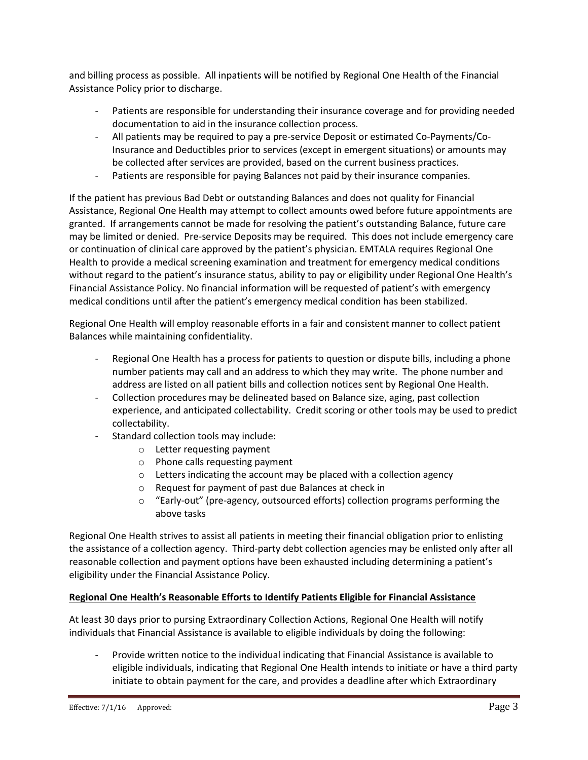and billing process as possible. All inpatients will be notified by Regional One Health of the Financial Assistance Policy prior to discharge.

- Patients are responsible for understanding their insurance coverage and for providing needed documentation to aid in the insurance collection process.
- All patients may be required to pay a pre-service Deposit or estimated Co-Payments/Co-Insurance and Deductibles prior to services (except in emergent situations) or amounts may be collected after services are provided, based on the current business practices.
- Patients are responsible for paying Balances not paid by their insurance companies.

If the patient has previous Bad Debt or outstanding Balances and does not quality for Financial Assistance, Regional One Health may attempt to collect amounts owed before future appointments are granted. If arrangements cannot be made for resolving the patient's outstanding Balance, future care may be limited or denied. Pre-service Deposits may be required. This does not include emergency care or continuation of clinical care approved by the patient's physician. EMTALA requires Regional One Health to provide a medical screening examination and treatment for emergency medical conditions without regard to the patient's insurance status, ability to pay or eligibility under Regional One Health's Financial Assistance Policy. No financial information will be requested of patient's with emergency medical conditions until after the patient's emergency medical condition has been stabilized.

Regional One Health will employ reasonable efforts in a fair and consistent manner to collect patient Balances while maintaining confidentiality.

- Regional One Health has a process for patients to question or dispute bills, including a phone number patients may call and an address to which they may write. The phone number and address are listed on all patient bills and collection notices sent by Regional One Health.
- Collection procedures may be delineated based on Balance size, aging, past collection experience, and anticipated collectability. Credit scoring or other tools may be used to predict collectability.
- Standard collection tools may include:
	- o Letter requesting payment
	- o Phone calls requesting payment
	- o Letters indicating the account may be placed with a collection agency
	- o Request for payment of past due Balances at check in
	- o "Early-out" (pre-agency, outsourced efforts) collection programs performing the above tasks

Regional One Health strives to assist all patients in meeting their financial obligation prior to enlisting the assistance of a collection agency. Third-party debt collection agencies may be enlisted only after all reasonable collection and payment options have been exhausted including determining a patient's eligibility under the Financial Assistance Policy.

# **Regional One Health's Reasonable Efforts to Identify Patients Eligible for Financial Assistance**

At least 30 days prior to pursing Extraordinary Collection Actions, Regional One Health will notify individuals that Financial Assistance is available to eligible individuals by doing the following:

- Provide written notice to the individual indicating that Financial Assistance is available to eligible individuals, indicating that Regional One Health intends to initiate or have a third party initiate to obtain payment for the care, and provides a deadline after which Extraordinary